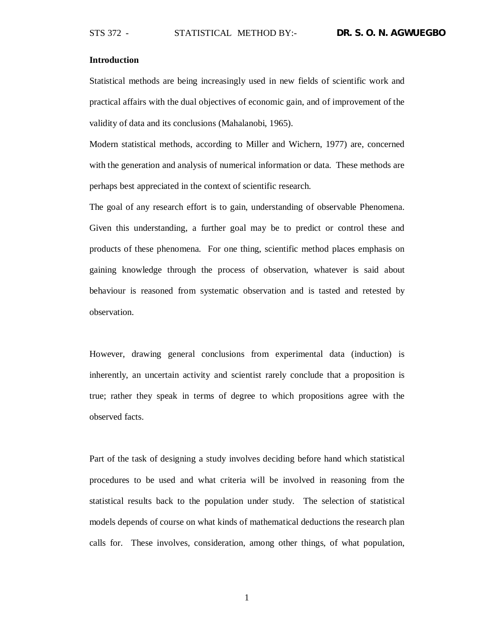## **Introduction**

Statistical methods are being increasingly used in new fields of scientific work and practical affairs with the dual objectives of economic gain, and of improvement of the validity of data and its conclusions (Mahalanobi, 1965).

Modern statistical methods, according to Miller and Wichern, 1977) are, concerned with the generation and analysis of numerical information or data. These methods are perhaps best appreciated in the context of scientific research.

The goal of any research effort is to gain, understanding of observable Phenomena. Given this understanding, a further goal may be to predict or control these and products of these phenomena. For one thing, scientific method places emphasis on gaining knowledge through the process of observation, whatever is said about behaviour is reasoned from systematic observation and is tasted and retested by observation.

However, drawing general conclusions from experimental data (induction) is inherently, an uncertain activity and scientist rarely conclude that a proposition is true; rather they speak in terms of degree to which propositions agree with the observed facts.

Part of the task of designing a study involves deciding before hand which statistical procedures to be used and what criteria will be involved in reasoning from the statistical results back to the population under study. The selection of statistical models depends of course on what kinds of mathematical deductions the research plan calls for. These involves, consideration, among other things, of what population,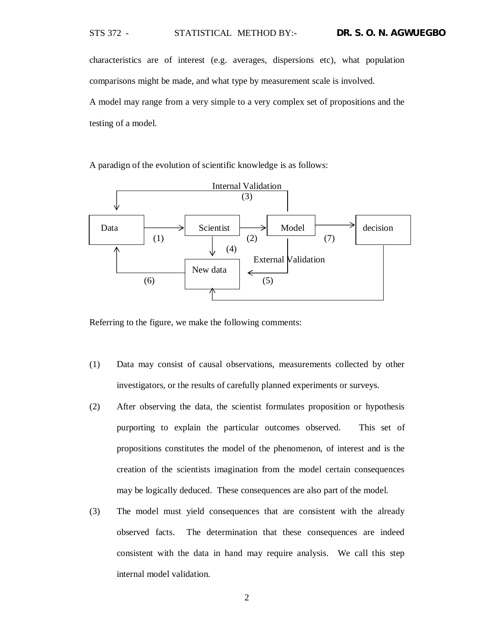STS 372 - STATISTICAL METHOD BY:- **DR. S. O. N. AGWUEGBO**

characteristics are of interest (e.g. averages, dispersions etc), what population comparisons might be made, and what type by measurement scale is involved. A model may range from a very simple to a very complex set of propositions and the testing of a model.

A paradign of the evolution of scientific knowledge is as follows:



Referring to the figure, we make the following comments:

- (1) Data may consist of causal observations, measurements collected by other investigators, or the results of carefully planned experiments or surveys.
- (2) After observing the data, the scientist formulates proposition or hypothesis purporting to explain the particular outcomes observed. This set of propositions constitutes the model of the phenomenon, of interest and is the creation of the scientists imagination from the model certain consequences may be logically deduced. These consequences are also part of the model.
- (3) The model must yield consequences that are consistent with the already observed facts. The determination that these consequences are indeed consistent with the data in hand may require analysis. We call this step internal model validation.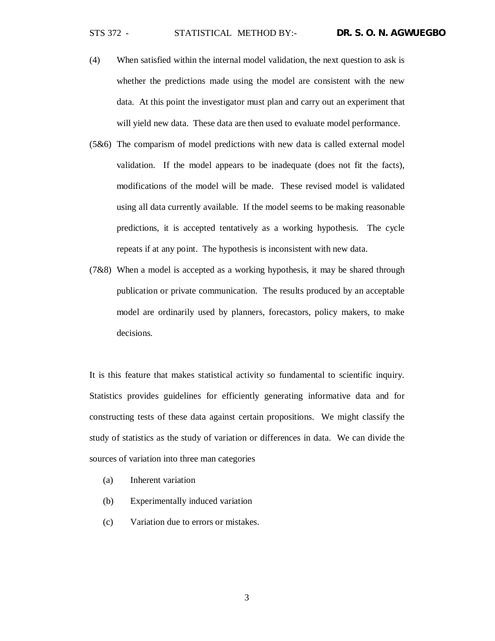- (4) When satisfied within the internal model validation, the next question to ask is whether the predictions made using the model are consistent with the new data. At this point the investigator must plan and carry out an experiment that will yield new data. These data are then used to evaluate model performance.
- (5&6) The comparism of model predictions with new data is called external model validation. If the model appears to be inadequate (does not fit the facts), modifications of the model will be made. These revised model is validated using all data currently available. If the model seems to be making reasonable predictions, it is accepted tentatively as a working hypothesis. The cycle repeats if at any point. The hypothesis is inconsistent with new data.
- (7&8) When a model is accepted as a working hypothesis, it may be shared through publication or private communication. The results produced by an acceptable model are ordinarily used by planners, forecastors, policy makers, to make decisions.

It is this feature that makes statistical activity so fundamental to scientific inquiry. Statistics provides guidelines for efficiently generating informative data and for constructing tests of these data against certain propositions. We might classify the study of statistics as the study of variation or differences in data. We can divide the sources of variation into three man categories

- (a) Inherent variation
- (b) Experimentally induced variation
- (c) Variation due to errors or mistakes.

3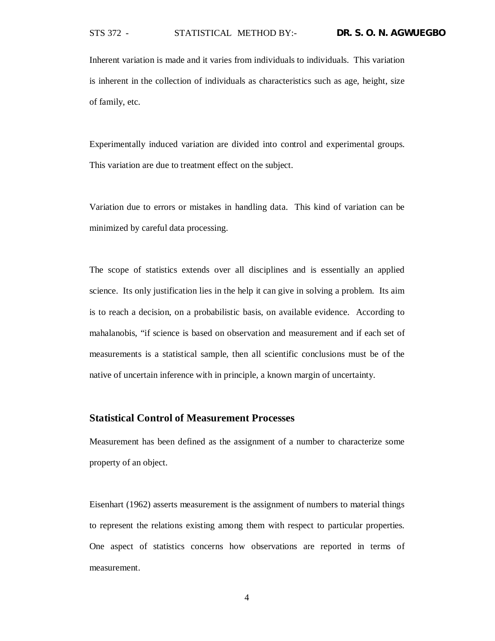Inherent variation is made and it varies from individuals to individuals. This variation is inherent in the collection of individuals as characteristics such as age, height, size of family, etc.

Experimentally induced variation are divided into control and experimental groups. This variation are due to treatment effect on the subject.

Variation due to errors or mistakes in handling data. This kind of variation can be minimized by careful data processing.

The scope of statistics extends over all disciplines and is essentially an applied science. Its only justification lies in the help it can give in solving a problem. Its aim is to reach a decision, on a probabilistic basis, on available evidence. According to mahalanobis, "if science is based on observation and measurement and if each set of measurements is a statistical sample, then all scientific conclusions must be of the native of uncertain inference with in principle, a known margin of uncertainty.

## **Statistical Control of Measurement Processes**

Measurement has been defined as the assignment of a number to characterize some property of an object.

Eisenhart (1962) asserts measurement is the assignment of numbers to material things to represent the relations existing among them with respect to particular properties. One aspect of statistics concerns how observations are reported in terms of measurement.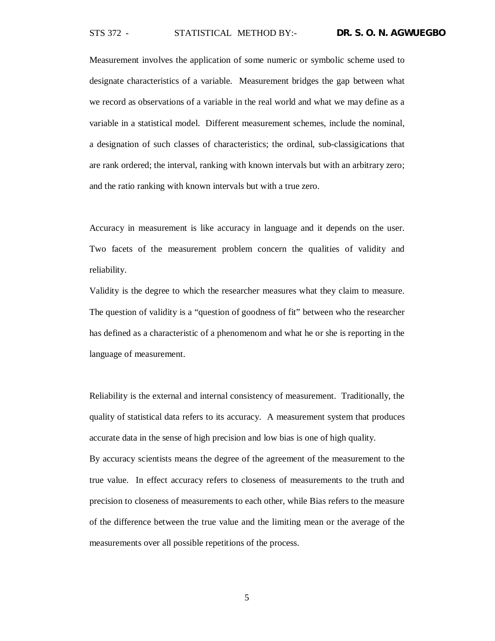Measurement involves the application of some numeric or symbolic scheme used to designate characteristics of a variable. Measurement bridges the gap between what we record as observations of a variable in the real world and what we may define as a variable in a statistical model. Different measurement schemes, include the nominal, a designation of such classes of characteristics; the ordinal, sub-classigications that are rank ordered; the interval, ranking with known intervals but with an arbitrary zero; and the ratio ranking with known intervals but with a true zero.

Accuracy in measurement is like accuracy in language and it depends on the user. Two facets of the measurement problem concern the qualities of validity and reliability.

Validity is the degree to which the researcher measures what they claim to measure. The question of validity is a "question of goodness of fit" between who the researcher has defined as a characteristic of a phenomenom and what he or she is reporting in the language of measurement.

Reliability is the external and internal consistency of measurement. Traditionally, the quality of statistical data refers to its accuracy. A measurement system that produces accurate data in the sense of high precision and low bias is one of high quality.

By accuracy scientists means the degree of the agreement of the measurement to the true value. In effect accuracy refers to closeness of measurements to the truth and precision to closeness of measurements to each other, while Bias refers to the measure of the difference between the true value and the limiting mean or the average of the measurements over all possible repetitions of the process.

5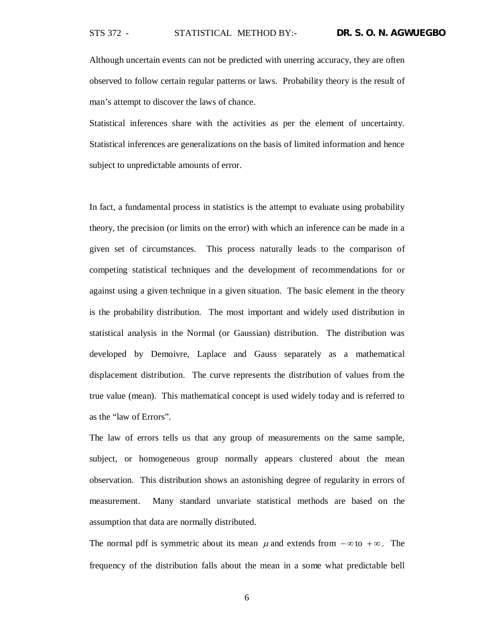Although uncertain events can not be predicted with unerring accuracy, they are often observed to follow certain regular patterns or laws. Probability theory is the result of man's attempt to discover the laws of chance.

Statistical inferences share with the activities as per the element of uncertainty. Statistical inferences are generalizations on the basis of limited information and hence subject to unpredictable amounts of error.

In fact, a fundamental process in statistics is the attempt to evaluate using probability theory, the precision (or limits on the error) with which an inference can be made in a given set of circumstances. This process naturally leads to the comparison of competing statistical techniques and the development of recommendations for or against using a given technique in a given situation. The basic element in the theory is the probability distribution. The most important and widely used distribution in statistical analysis in the Normal (or Gaussian) distribution. The distribution was developed by Demoivre, Laplace and Gauss separately as a mathematical displacement distribution. The curve represents the distribution of values from the true value (mean). This mathematical concept is used widely today and is referred to as the "law of Errors".

The law of errors tells us that any group of measurements on the same sample, subject, or homogeneous group normally appears clustered about the mean observation. This distribution shows an astonishing degree of regularity in errors of measurement. Many standard unvariate statistical methods are based on the assumption that data are normally distributed.

The normal pdf is symmetric about its mean  $\mu$  and extends from  $-\infty$  to  $+\infty$ . The frequency of the distribution falls about the mean in a some what predictable bell

6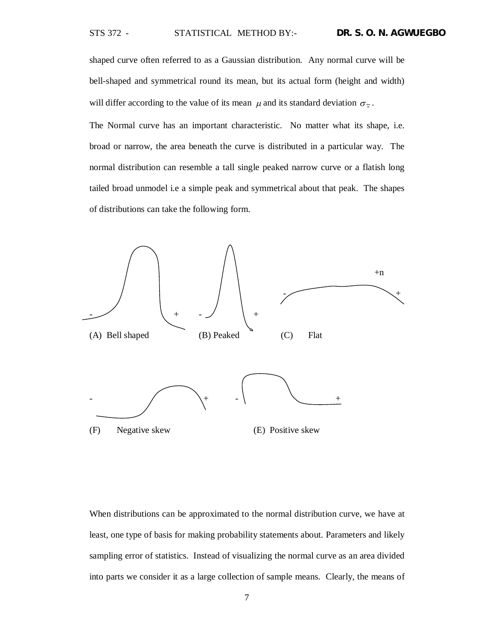shaped curve often referred to as a Gaussian distribution. Any normal curve will be bell-shaped and symmetrical round its mean, but its actual form (height and width) will differ according to the value of its mean  $\mu$  and its standard deviation  $\sigma_{\overline{x}}$ .

The Normal curve has an important characteristic. No matter what its shape, i.e. broad or narrow, the area beneath the curve is distributed in a particular way. The normal distribution can resemble a tall single peaked narrow curve or a flatish long tailed broad unmodel i.e a simple peak and symmetrical about that peak. The shapes of distributions can take the following form.



When distributions can be approximated to the normal distribution curve, we have at least, one type of basis for making probability statements about. Parameters and likely sampling error of statistics. Instead of visualizing the normal curve as an area divided into parts we consider it as a large collection of sample means. Clearly, the means of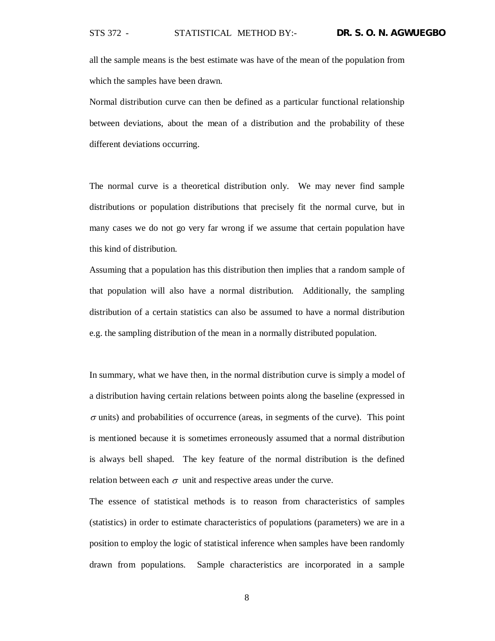all the sample means is the best estimate was have of the mean of the population from which the samples have been drawn.

Normal distribution curve can then be defined as a particular functional relationship between deviations, about the mean of a distribution and the probability of these different deviations occurring.

The normal curve is a theoretical distribution only. We may never find sample distributions or population distributions that precisely fit the normal curve, but in many cases we do not go very far wrong if we assume that certain population have this kind of distribution.

Assuming that a population has this distribution then implies that a random sample of that population will also have a normal distribution. Additionally, the sampling distribution of a certain statistics can also be assumed to have a normal distribution e.g. the sampling distribution of the mean in a normally distributed population.

In summary, what we have then, in the normal distribution curve is simply a model of a distribution having certain relations between points along the baseline (expressed in  $\sigma$  units) and probabilities of occurrence (areas, in segments of the curve). This point is mentioned because it is sometimes erroneously assumed that a normal distribution is always bell shaped. The key feature of the normal distribution is the defined relation between each  $\sigma$  unit and respective areas under the curve.

The essence of statistical methods is to reason from characteristics of samples (statistics) in order to estimate characteristics of populations (parameters) we are in a position to employ the logic of statistical inference when samples have been randomly drawn from populations. Sample characteristics are incorporated in a sample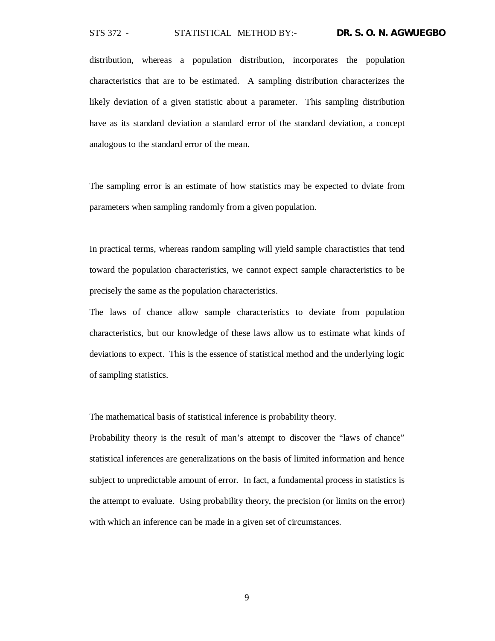distribution, whereas a population distribution, incorporates the population characteristics that are to be estimated. A sampling distribution characterizes the likely deviation of a given statistic about a parameter. This sampling distribution have as its standard deviation a standard error of the standard deviation, a concept analogous to the standard error of the mean.

The sampling error is an estimate of how statistics may be expected to dviate from parameters when sampling randomly from a given population.

In practical terms, whereas random sampling will yield sample charactistics that tend toward the population characteristics, we cannot expect sample characteristics to be precisely the same as the population characteristics.

The laws of chance allow sample characteristics to deviate from population characteristics, but our knowledge of these laws allow us to estimate what kinds of deviations to expect. This is the essence of statistical method and the underlying logic of sampling statistics.

The mathematical basis of statistical inference is probability theory.

Probability theory is the result of man's attempt to discover the "laws of chance" statistical inferences are generalizations on the basis of limited information and hence subject to unpredictable amount of error. In fact, a fundamental process in statistics is the attempt to evaluate. Using probability theory, the precision (or limits on the error) with which an inference can be made in a given set of circumstances.

9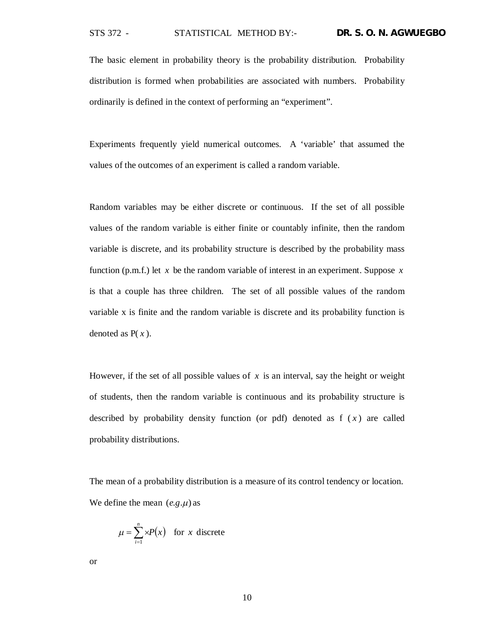The basic element in probability theory is the probability distribution. Probability distribution is formed when probabilities are associated with numbers. Probability ordinarily is defined in the context of performing an "experiment".

Experiments frequently yield numerical outcomes. A 'variable' that assumed the values of the outcomes of an experiment is called a random variable.

Random variables may be either discrete or continuous. If the set of all possible values of the random variable is either finite or countably infinite, then the random variable is discrete, and its probability structure is described by the probability mass function (p.m.f.) let *x* be the random variable of interest in an experiment. Suppose *x* is that a couple has three children. The set of all possible values of the random variable x is finite and the random variable is discrete and its probability function is denoted as P( *x* ).

However, if the set of all possible values of *x* is an interval, say the height or weight of students, then the random variable is continuous and its probability structure is described by probability density function (or pdf) denoted as  $f(x)$  are called probability distributions.

The mean of a probability distribution is a measure of its control tendency or location. We define the mean  $(e.g.\mu)$  as

$$
\mu = \sum_{i=1}^{n} xP(x) \text{ for } x \text{ discrete}
$$

or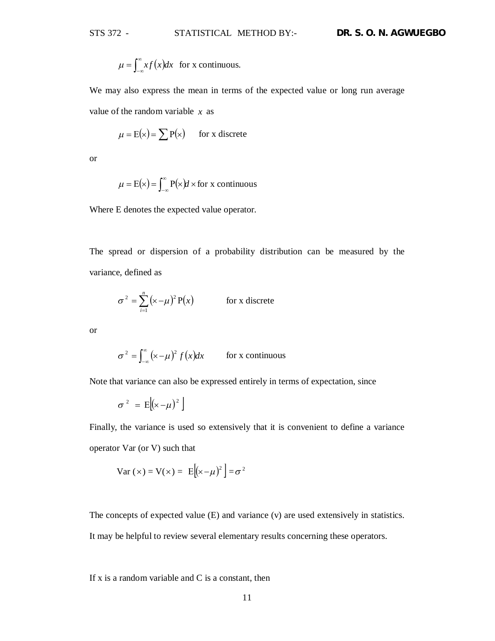$$
\mu = \int_{-\infty}^{\infty} x f(x) dx
$$
 for x continuous.

We may also express the mean in terms of the expected value or long run average value of the random variable *x* as

$$
\mu = E(x) = \sum P(x) \quad \text{for x discrete}
$$

or

$$
\mu = E(x) = \int_{-\infty}^{\infty} P(x) dx \text{ for } x \text{ continuous}
$$

Where E denotes the expected value operator.

The spread or dispersion of a probability distribution can be measured by the variance, defined as

$$
\sigma^2 = \sum_{i=1}^n (x - \mu)^2 P(x)
$$
 for x discrete

or

$$
\sigma^2 = \int_{-\infty}^{\infty} (x - \mu)^2 f(x) dx
$$
 for x continuous

Note that variance can also be expressed entirely in terms of expectation, since

$$
\sigma^2 = E[(x-\mu)^2]
$$

Finally, the variance is used so extensively that it is convenient to define a variance operator Var (or V) such that

$$
Var(x) = V(x) = E[(x - \mu)^{2}] = \sigma^{2}
$$

The concepts of expected value (E) and variance (v) are used extensively in statistics.

It may be helpful to review several elementary results concerning these operators.

If  $x$  is a random variable and  $C$  is a constant, then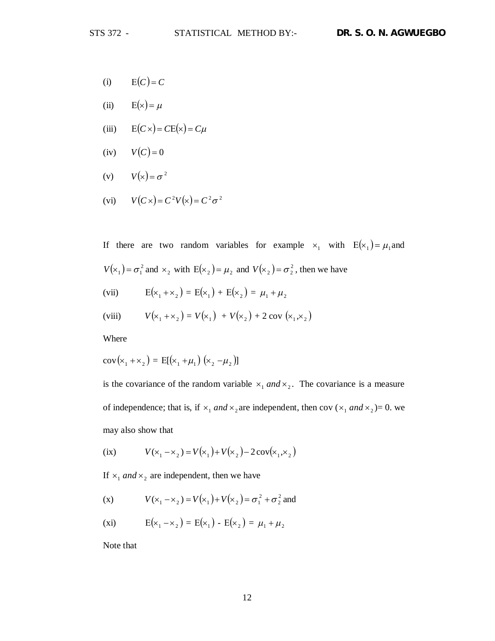- (i)  $E(C) = C$
- (ii)  $E(x) = \mu$
- (iii)  $E(C \times) = CE(\times) = C\mu$
- (iv)  $V(C) = 0$
- (v)  $V(x) = \sigma^2$
- (vi)  $V(C \times) = C^2 V(\times) = C^2 \sigma^2$

If there are two random variables for example  $x_1$  with  $E(x_1) = \mu_1$  and  $V(x_1) = \sigma_1^2$  and  $x_2$  with  $E(x_2) = \mu_2$  and  $V(x_2) = \sigma_2^2$ , then we have

(vii)  $E(x_1 + x_2) = E(x_1) + E(x_2) = \mu_1 + \mu_2$ 

(viii) 
$$
V(x_1 + x_2) = V(x_1) + V(x_2) + 2 \text{ cov}(x_1, x_2)
$$

Where

$$
cov(x_1 + x_2) = E[(x_1 + \mu_1) (x_2 - \mu_2)]
$$

is the covariance of the random variable  $x_1$  and  $x_2$ . The covariance is a measure of independence; that is, if  $x_1$  *and*  $x_2$  are independent, then cov ( $x_1$  *and*  $x_2$ )= 0. we may also show that

(ix) 
$$
V(x_1 - x_2) = V(x_1) + V(x_2) - 2\cos(x_1, x_2)
$$

If  $x_1$  *and*  $x_2$  are independent, then we have

(x) 
$$
V(x_1 - x_2) = V(x_1) + V(x_2) = \sigma_1^2 + \sigma_2^2
$$
 and

(xi) 
$$
E(x_1 - x_2) = E(x_1) - E(x_2) = \mu_1 + \mu_2
$$

Note that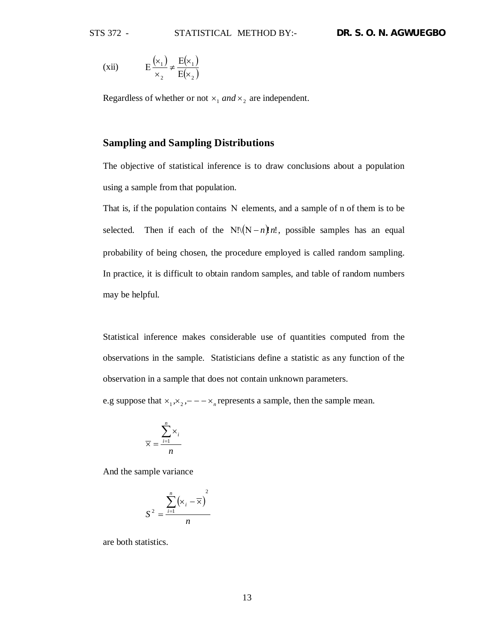(xii) 
$$
E\frac{(x_1)}{x_2} \neq \frac{E(x_1)}{E(x_2)}
$$

Regardless of whether or not  $x_1$  and  $x_2$  are independent.

# **Sampling and Sampling Distributions**

The objective of statistical inference is to draw conclusions about a population using a sample from that population.

That is, if the population contains  $N$  elements, and a sample of n of them is to be selected. Then if each of the  $N!((N-n)!n!)$ , possible samples has an equal probability of being chosen, the procedure employed is called random sampling. In practice, it is difficult to obtain random samples, and table of random numbers may be helpful.

Statistical inference makes considerable use of quantities computed from the observations in the sample. Statisticians define a statistic as any function of the observation in a sample that does not contain unknown parameters.

e.g suppose that  $x_1, x_2, -2x_n$  represents a sample, then the sample mean.

$$
\overline{\times} = \frac{\sum_{i=1}^{n} \times_{i}}{n}
$$

And the sample variance

$$
S^{2} = \frac{\sum_{i=1}^{n} (\times_{i} - \overline{\times})^{2}}{n}
$$

are both statistics.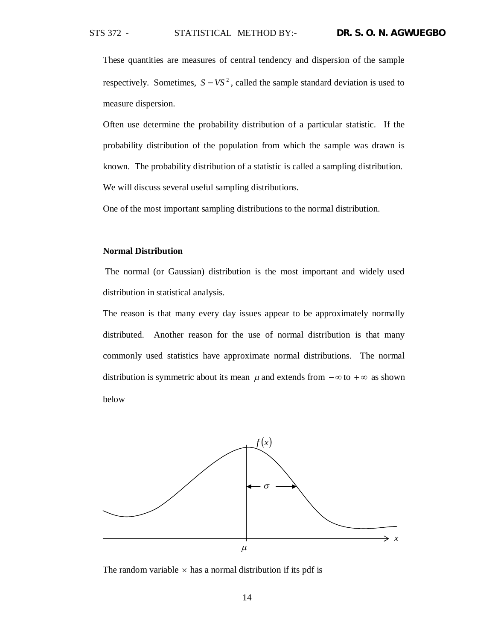These quantities are measures of central tendency and dispersion of the sample respectively. Sometimes,  $S = VS^2$ , called the sample standard deviation is used to measure dispersion.

Often use determine the probability distribution of a particular statistic. If the probability distribution of the population from which the sample was drawn is known. The probability distribution of a statistic is called a sampling distribution. We will discuss several useful sampling distributions.

One of the most important sampling distributions to the normal distribution.

#### **Normal Distribution**

The normal (or Gaussian) distribution is the most important and widely used distribution in statistical analysis.

The reason is that many every day issues appear to be approximately normally distributed. Another reason for the use of normal distribution is that many commonly used statistics have approximate normal distributions. The normal distribution is symmetric about its mean  $\mu$  and extends from  $-\infty$  to  $+\infty$  as shown below



The random variable  $\times$  has a normal distribution if its pdf is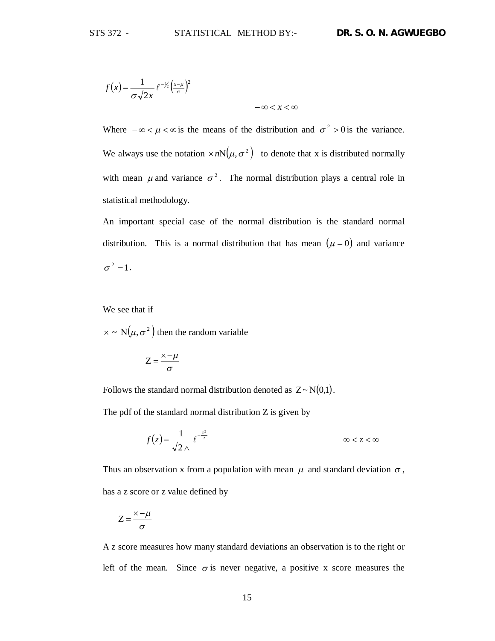$$
f(x) = \frac{1}{\sigma\sqrt{2x}} e^{-\frac{1}{2}\left(\frac{x-\mu}{\sigma}\right)^2}
$$

Where  $-\infty < \mu < \infty$  is the means of the distribution and  $\sigma^2 > 0$  is the variance. We always use the notation  $\times nN(\mu, \sigma^2)$  to denote that x is distributed normally with mean  $\mu$  and variance  $\sigma^2$ . The normal distribution plays a central role in statistical methodology.

 $-\infty < x < \infty$ 

An important special case of the normal distribution is the standard normal distribution. This is a normal distribution that has mean  $(\mu = 0)$  and variance  $\sigma^2 = 1$ .

We see that if

 $\times \sim N(\mu, \sigma^2)$  then the random variable

$$
Z=\frac{\times-\mu}{\sigma}
$$

Follows the standard normal distribution denoted as  $Z \sim N(0,1)$ .

The pdf of the standard normal distribution Z is given by

$$
f(z) = \frac{1}{\sqrt{2\,\overline{\wedge}\,}} e^{-\frac{z^2}{2}} \qquad \qquad -\infty < z < \infty
$$

Thus an observation x from a population with mean  $\mu$  and standard deviation  $\sigma$ , has a z score or z value defined by

$$
Z = \frac{\times -\mu}{\sigma}
$$

A z score measures how many standard deviations an observation is to the right or left of the mean. Since  $\sigma$  is never negative, a positive x score measures the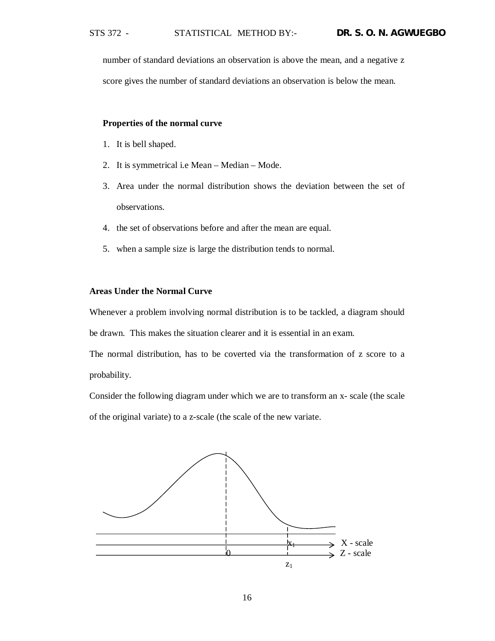number of standard deviations an observation is above the mean, and a negative z score gives the number of standard deviations an observation is below the mean.

## **Properties of the normal curve**

- 1. It is bell shaped.
- 2. It is symmetrical i.e Mean Median Mode.
- 3. Area under the normal distribution shows the deviation between the set of observations.
- 4. the set of observations before and after the mean are equal.
- 5. when a sample size is large the distribution tends to normal.

## **Areas Under the Normal Curve**

Whenever a problem involving normal distribution is to be tackled, a diagram should

be drawn. This makes the situation clearer and it is essential in an exam.

The normal distribution, has to be coverted via the transformation of z score to a probability.

Consider the following diagram under which we are to transform an x- scale (the scale of the original variate) to a z-scale (the scale of the new variate.

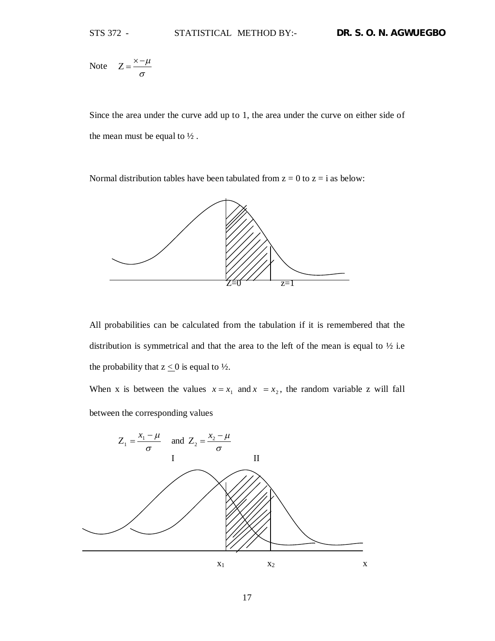Note  $Z = \frac{R}{\sigma}$  $Z = \frac{\times -\mu}{\sigma}$ 

Since the area under the curve add up to 1, the area under the curve on either side of the mean must be equal to  $\frac{1}{2}$ .

Normal distribution tables have been tabulated from  $z = 0$  to  $z = i$  as below:



All probabilities can be calculated from the tabulation if it is remembered that the distribution is symmetrical and that the area to the left of the mean is equal to  $\frac{1}{2}$  i.e the probability that  $z \leq 0$  is equal to  $\frac{1}{2}$ .

When x is between the values  $x = x_1$  and  $x = x_2$ , the random variable z will fall between the corresponding values

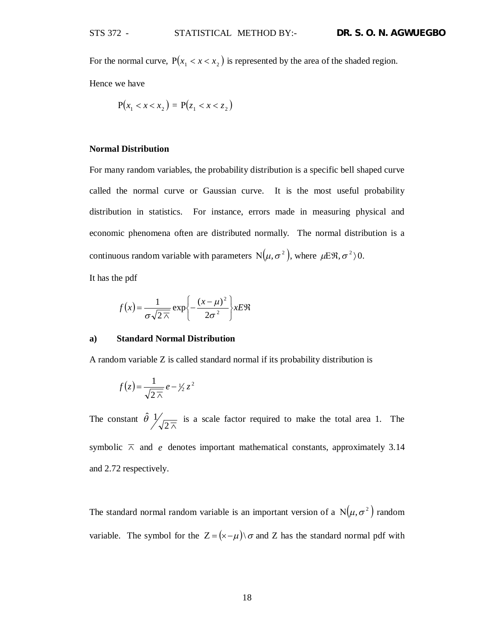For the normal curve,  $P(x_1 < x < x_2)$  is represented by the area of the shaded region.

Hence we have

$$
P(x_1 < x < x_2) = P(z_1 < x < z_2)
$$

## **Normal Distribution**

For many random variables, the probability distribution is a specific bell shaped curve called the normal curve or Gaussian curve. It is the most useful probability distribution in statistics. For instance, errors made in measuring physical and economic phenomena often are distributed normally. The normal distribution is a continuous random variable with parameters  $N(\mu, \sigma^2)$ , where  $\mu E \mathfrak{R}, \sigma^2$ ) $0$ .

It has the pdf

$$
f(x) = \frac{1}{\sigma\sqrt{2\lambda}} \exp\left\{-\frac{(x-\mu)^2}{2\sigma^2}\right\} x E \Re
$$

## **a) Standard Normal Distribution**

A random variable Z is called standard normal if its probability distribution is

$$
f(z) = \frac{1}{\sqrt{2\pi}} e - \frac{1}{2} z^2
$$

The constant  $\hat{\theta}$   $\frac{1}{\sqrt{2\pi}}$  is a scale factor required to make the total area 1. The symbolic  $\overline{\wedge}$  and *e* denotes important mathematical constants, approximately 3.14 and 2.72 respectively.

The standard normal random variable is an important version of a  $N(\mu, \sigma^2)$  random variable. The symbol for the  $Z = (\times - \mu) \sigma$  and Z has the standard normal pdf with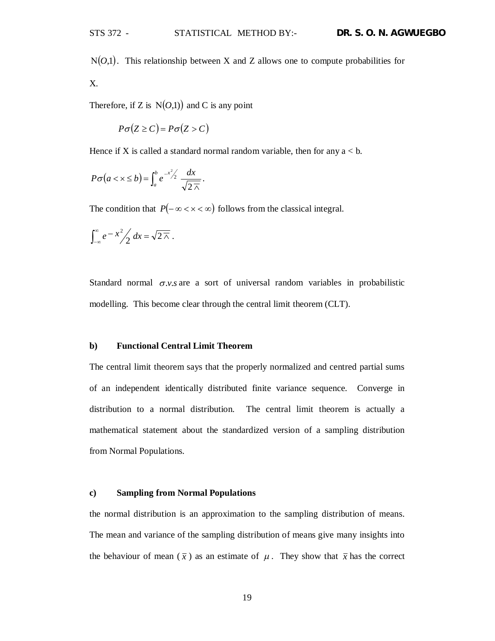$N(O,1)$ . This relationship between X and Z allows one to compute probabilities for X.

Therefore, if Z is  $N(O,1)$  and C is any point

$$
P\sigma(Z \ge C) = P\sigma(Z > C)
$$

Hence if X is called a standard normal random variable, then for any  $a < b$ .

$$
P\sigma(a < x \le b) = \int_a^b e^{-x^2/2} \frac{dx}{\sqrt{2\pi}}.
$$

The condition that  $P(-\infty < x < \infty)$  follows from the classical integral.

$$
\int_{-\infty}^{\infty} e^{-x^2} / 2 dx = \sqrt{2\overline{\wedge}}.
$$

Standard normal  $\sigma$ *.v.s* are a sort of universal random variables in probabilistic modelling. This become clear through the central limit theorem (CLT).

## **b) Functional Central Limit Theorem**

The central limit theorem says that the properly normalized and centred partial sums of an independent identically distributed finite variance sequence. Converge in distribution to a normal distribution. The central limit theorem is actually a mathematical statement about the standardized version of a sampling distribution from Normal Populations.

#### **c) Sampling from Normal Populations**

the normal distribution is an approximation to the sampling distribution of means. The mean and variance of the sampling distribution of means give many insights into the behaviour of mean  $(\bar{x})$  as an estimate of  $\mu$ . They show that  $\bar{x}$  has the correct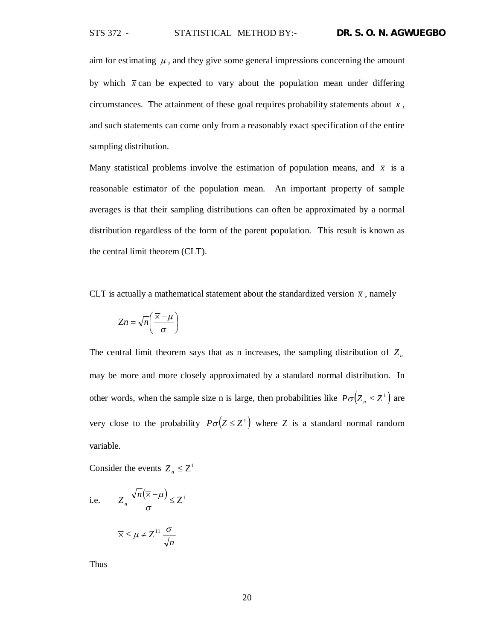aim for estimating  $\mu$ , and they give some general impressions concerning the amount by which  $\bar{x}$  can be expected to vary about the population mean under differing circumstances. The attainment of these goal requires probability statements about  $\bar{x}$ , and such statements can come only from a reasonably exact specification of the entire sampling distribution.

Many statistical problems involve the estimation of population means, and  $\bar{x}$  is a reasonable estimator of the population mean. An important property of sample averages is that their sampling distributions can often be approximated by a normal distribution regardless of the form of the parent population. This result is known as the central limit theorem (CLT).

CLT is actually a mathematical statement about the standardized version  $\bar{x}$ , namely

$$
Zn = \sqrt{n}\left(\frac{\overline{\times} - \mu}{\sigma}\right)
$$

The central limit theorem says that as n increases, the sampling distribution of *Z<sup>n</sup>* may be more and more closely approximated by a standard normal distribution. In other words, when the sample size n is large, then probabilities like  $P\sigma(Z_n \leq Z^1)$  are very close to the probability  $P\sigma(Z \leq Z^1)$  where Z is a standard normal random variable.

Consider the events  $Z_n \leq Z^1$ 

i.e. 
$$
Z_n \frac{\sqrt{n}(\overline{x} - \mu)}{\sigma} \le Z^1
$$
  
 $\overline{x} \le \mu \ne Z^{11} \frac{\sigma}{\sqrt{n}}$ 

Thus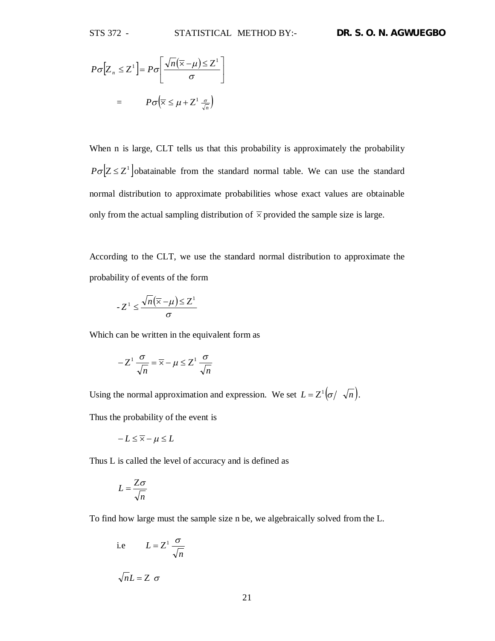$$
P\sigma[Z_n \le Z^1] = P\sigma\left[\frac{\sqrt{n}(\overline{\times} - \mu) \le Z^1}{\sigma}\right]
$$

$$
= P\sigma\left(\overline{\times} \le \mu + Z^1 \frac{\sigma}{\sqrt{n}}\right)
$$

When n is large, CLT tells us that this probability is approximately the probability  $P\sigma$   $Z \leq Z^1$  obatainable from the standard normal table. We can use the standard normal distribution to approximate probabilities whose exact values are obtainable only from the actual sampling distribution of  $\overline{\times}$  provided the sample size is large.

According to the CLT, we use the standard normal distribution to approximate the probability of events of the form

$$
-Z^1 \le \frac{\sqrt{n}(\overline{\times} - \mu) \le Z^1}{\sigma}
$$

Which can be written in the equivalent form as

$$
-Z^1 \frac{\sigma}{\sqrt{n}} = \overline{\times} - \mu \leq Z^1 \frac{\sigma}{\sqrt{n}}
$$

Using the normal approximation and expression. We set  $L = Z^1(\sigma / \sqrt{n})$ .<br>Thus the probability of the event is

$$
-L \leq \overline{\times} - \mu \leq L
$$

Thus L is called the level of accuracy and is defined as

$$
L = \frac{Z\sigma}{\sqrt{n}}
$$

To find how large must the sample size n be, we algebraically solved from the L.

i.e 
$$
L = Z^1 \frac{\sigma}{\sqrt{n}}
$$
  
 $\sqrt{n}L = Z \sigma$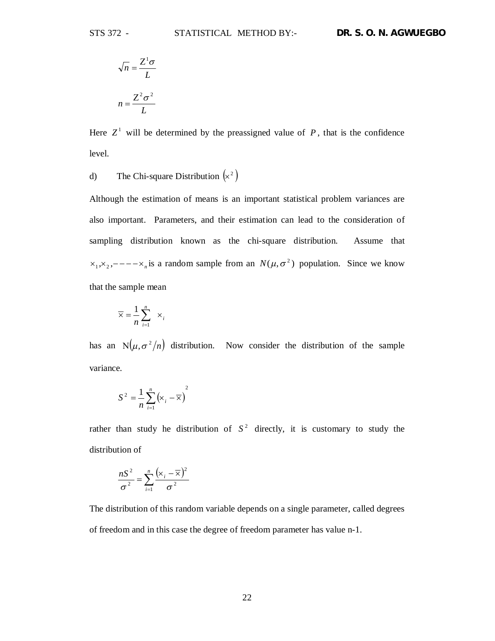$$
\sqrt{n} = \frac{Z^1 \sigma}{L}
$$

$$
n = \frac{Z^2 \sigma^2}{L}
$$

Here  $Z^1$  will be determined by the preassigned value of  $P$ , that is the confidence level.

d) The Chi-square Distribution  $(x^2)$ 

Although the estimation of means is an important statistical problem variances are also important. Parameters, and their estimation can lead to the consideration of sampling distribution known as the chi-square distribution. Assume that  $x_1, x_2, \dots -x_n$  is a random sample from an  $N(\mu, \sigma^2)$  population. Since we know that the sample mean

$$
\overline{\times} = \frac{1}{n} \sum_{i=1}^{n} \times_{i}
$$

has an  $N(\mu, \sigma^2/n)$  distribution. Now consider the distribution of the sample variance.

$$
S^2 = \frac{1}{n} \sum_{i=1}^n (\mathbf{x}_i - \overline{\mathbf{x}})^2
$$

rather than study he distribution of  $S<sup>2</sup>$  directly, it is customary to study the distribution of

$$
\frac{nS^2}{\sigma^2} = \sum_{i=1}^n \frac{(\mathsf{x}_i - \overline{\mathsf{x}})^2}{\sigma^2}
$$

The distribution of this random variable depends on a single parameter, called degrees of freedom and in this case the degree of freedom parameter has value n-1.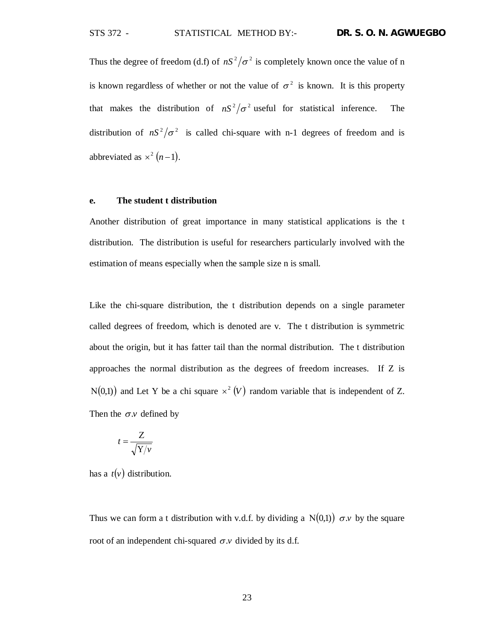Thus the degree of freedom (d.f) of  $nS^2/\sigma^2$  is completely known once the value of n is known regardless of whether or not the value of  $\sigma^2$  is known. It is this property that makes the distribution of  $nS^2/\sigma^2$  useful for statistical inference. The distribution of  $nS^2/\sigma^2$  is called chi-square with n-1 degrees of freedom and is abbreviated as  $\times^2 (n-1)$ .

#### **e. The student t distribution**

Another distribution of great importance in many statistical applications is the t distribution. The distribution is useful for researchers particularly involved with the estimation of means especially when the sample size n is small.

Like the chi-square distribution, the t distribution depends on a single parameter called degrees of freedom, which is denoted are v. The t distribution is symmetric about the origin, but it has fatter tail than the normal distribution. The t distribution approaches the normal distribution as the degrees of freedom increases. If Z is  $N(0,1)$  and Let Y be a chi square  $\times^2 (V)$  random variable that is independent of Z. Then the  $\sigma$ *y* defined by

$$
t = \frac{Z}{\sqrt{Y/\nu}}
$$

has a  $t(v)$  distribution.

Thus we can form a t distribution with v.d.f. by dividing a  $N(0,1)$   $\sigma$ .*v* by the square root of an independent chi-squared  $\sigma$ . *v* divided by its d.f.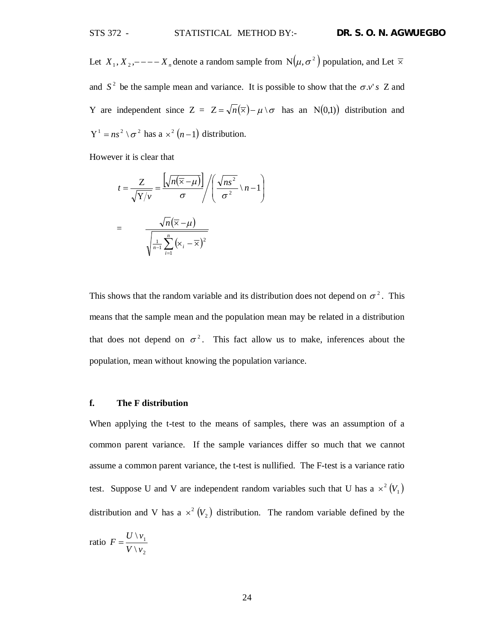Let  $X_1, X_2, ---X_n$  denote a random sample from  $N(\mu, \sigma^2)$  population, and Let  $\overline{\times}$ and  $S^2$  be the sample mean and variance. It is possible to show that the  $\sigma.v$ 's Z and Y are independent since  $Z = Z = \sqrt{n}(\overline{x}) - \mu \setminus \sigma$  has an N(0,1)) distribution and  $Y^1 = ns^2 \setminus \sigma^2$  has a  $\times^2 (n-1)$  distribution.

However it is clear that

$$
t = \frac{Z}{\sqrt{Y/\nu}} = \frac{\left[\sqrt{n(\overline{\times} - \mu)}\right]}{\sigma} / \left(\frac{\sqrt{n s^2}}{\sigma^2} \cdot n - 1\right)
$$

$$
= \frac{\sqrt{n}(\overline{\times} - \mu)}{\sqrt{\frac{1}{n-1} \sum_{i=1}^n (x_i - \overline{\times})^2}}
$$

This shows that the random variable and its distribution does not depend on  $\sigma^2$ . This means that the sample mean and the population mean may be related in a distribution that does not depend on  $\sigma^2$ . This fact allow us to make, inferences about the population, mean without knowing the population variance.

## **f. The F distribution**

When applying the t-test to the means of samples, there was an assumption of a common parent variance. If the sample variances differ so much that we cannot assume a common parent variance, the t-test is nullified. The F-test is a variance ratio test. Suppose U and V are independent random variables such that U has a  $\times^2 (V_1)$ distribution and V has a  $\times^2 (V_2)$  distribution. The random variable defined by the

ratio 
$$
F = \frac{U \setminus v_1}{V \setminus v_2}
$$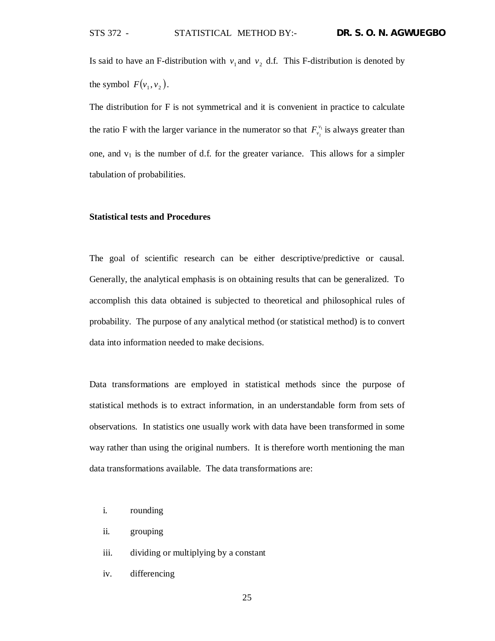Is said to have an F-distribution with  $v_1$  and  $v_2$  d.f. This F-distribution is denoted by the symbol  $F(v_1, v_2)$ .

The distribution for F is not symmetrical and it is convenient in practice to calculate the ratio F with the larger variance in the numerator so that  $F_{\nu_2}^{\nu_1}$  $F_{\nu_2}^{\nu_1}$  is always greater than one, and  $v_1$  is the number of d.f. for the greater variance. This allows for a simpler tabulation of probabilities.

## **Statistical tests and Procedures**

The goal of scientific research can be either descriptive/predictive or causal. Generally, the analytical emphasis is on obtaining results that can be generalized. To accomplish this data obtained is subjected to theoretical and philosophical rules of probability. The purpose of any analytical method (or statistical method) is to convert data into information needed to make decisions.

Data transformations are employed in statistical methods since the purpose of statistical methods is to extract information, in an understandable form from sets of observations. In statistics one usually work with data have been transformed in some way rather than using the original numbers. It is therefore worth mentioning the man data transformations available. The data transformations are:

- i. rounding
- ii. grouping
- iii. dividing or multiplying by a constant
- iv. differencing

25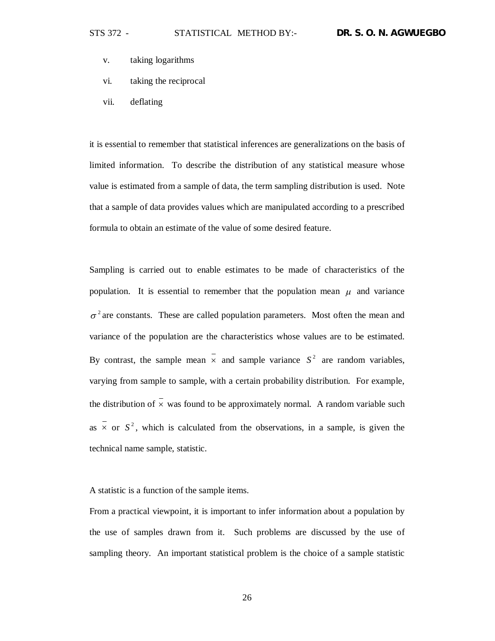- v. taking logarithms
- vi. taking the reciprocal
- vii. deflating

it is essential to remember that statistical inferences are generalizations on the basis of limited information. To describe the distribution of any statistical measure whose value is estimated from a sample of data, the term sampling distribution is used. Note that a sample of data provides values which are manipulated according to a prescribed formula to obtain an estimate of the value of some desired feature.

Sampling is carried out to enable estimates to be made of characteristics of the population. It is essential to remember that the population mean  $\mu$  and variance  $\sigma^2$  are constants. These are called population parameters. Most often the mean and variance of the population are the characteristics whose values are to be estimated. By contrast, the sample mean  $\times$  and sample variance  $S^2$  are random variables, varying from sample to sample, with a certain probability distribution. For example, the distribution of  $\overline{x}$  was found to be approximately normal. A random variable such as  $\times$  or  $S^2$ , which is calculated from the observations, in a sample, is given the technical name sample, statistic.

A statistic is a function of the sample items.

From a practical viewpoint, it is important to infer information about a population by the use of samples drawn from it. Such problems are discussed by the use of sampling theory. An important statistical problem is the choice of a sample statistic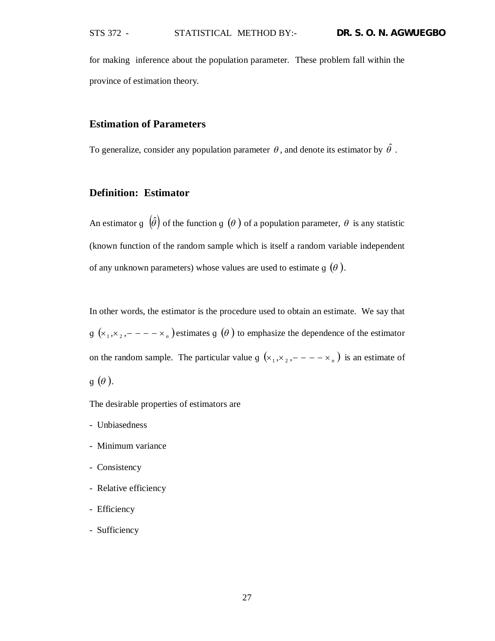for making inference about the population parameter. These problem fall within the province of estimation theory.

# **Estimation of Parameters**

To generalize, consider any population parameter  $\theta$ , and denote its estimator by  $\hat{\theta}$ .

# **Definition: Estimator**

An estimator g  $(\hat{\theta})$  of the function g  $(\theta)$  of a population parameter,  $\theta$  is any statistic (known function of the random sample which is itself a random variable independent of any unknown parameters) whose values are used to estimate  $q(\theta)$ .

In other words, the estimator is the procedure used to obtain an estimate. We say that  $g(x_1, x_2, - - - x_n)$  estimates  $g(\theta)$  to emphasize the dependence of the estimator on the random sample. The particular value  $g(x_1, x_2, - - - x_n)$  is an estimate of  $q(\theta)$ .

The desirable properties of estimators are

- Unbiasedness
- Minimum variance
- Consistency
- Relative efficiency
- Efficiency
- Sufficiency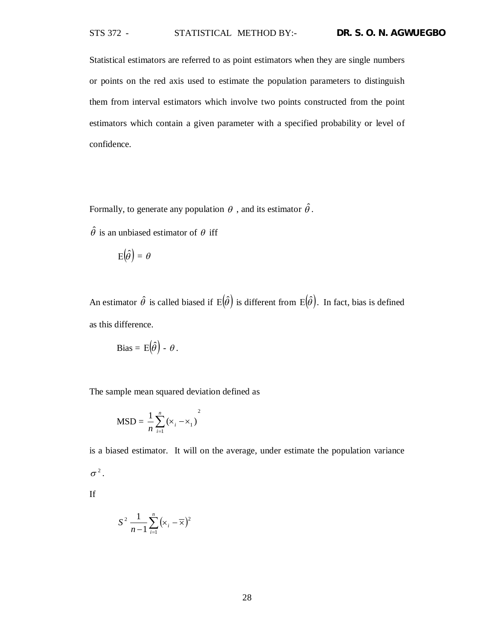Statistical estimators are referred to as point estimators when they are single numbers or points on the red axis used to estimate the population parameters to distinguish them from interval estimators which involve two points constructed from the point estimators which contain a given parameter with a specified probability or level of confidence.

Formally, to generate any population  $\theta$  , and its estimator  $\hat{\theta}$ .

 $\hat{\theta}$  is an unbiased estimator of  $\theta$  iff

$$
E(\hat{\theta}) = \theta
$$

An estimator  $\hat{\theta}$  is called biased if  $E(\hat{\theta})$  is different from  $E(\hat{\theta})$ . In fact, bias is defined as this difference.

Bias = 
$$
E(\hat{\theta}) - \theta
$$
.

The sample mean squared deviation defined as

$$
MSD = \frac{1}{n} \sum_{i=1}^{n} (x_i - x_1)^2
$$

is a biased estimator. It will on the average, under estimate the population variance  $\sigma^2$ .

If

$$
S^2 \frac{1}{n-1} \sum_{i=1}^n (\mathbf{x}_i - \overline{\mathbf{x}})^2
$$